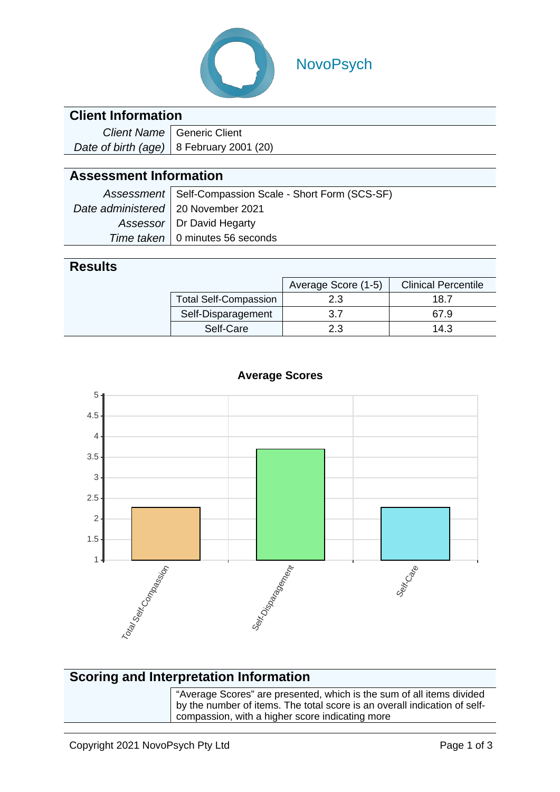

## NovoPsych

### **Client Information**

| Client Name   Generic Client               |  |  |
|--------------------------------------------|--|--|
| Date of birth (age)   8 February 2001 (20) |  |  |

## **Assessment Information**

|                                      | Assessment   Self-Compassion Scale - Short Form (SCS-SF) |
|--------------------------------------|----------------------------------------------------------|
| Date administered   20 November 2021 |                                                          |
|                                      | Assessor   Dr David Hegarty                              |
|                                      | Time taken   0 minutes 56 seconds                        |

#### **Results**

|                    |                              | Average Score (1-5) | <b>Clinical Percentile</b> |
|--------------------|------------------------------|---------------------|----------------------------|
|                    | <b>Total Self-Compassion</b> | 2.3                 | 18.7                       |
| Self-Disparagement |                              | ? 7                 | 67.9                       |
|                    | Self-Care                    | 2.3                 | 14.3                       |



#### **Average Scores**

## **Scoring and Interpretation Information**

"Average Scores" are presented, which is the sum of all items divided by the number of items. The total score is an overall indication of selfcompassion, with a higher score indicating more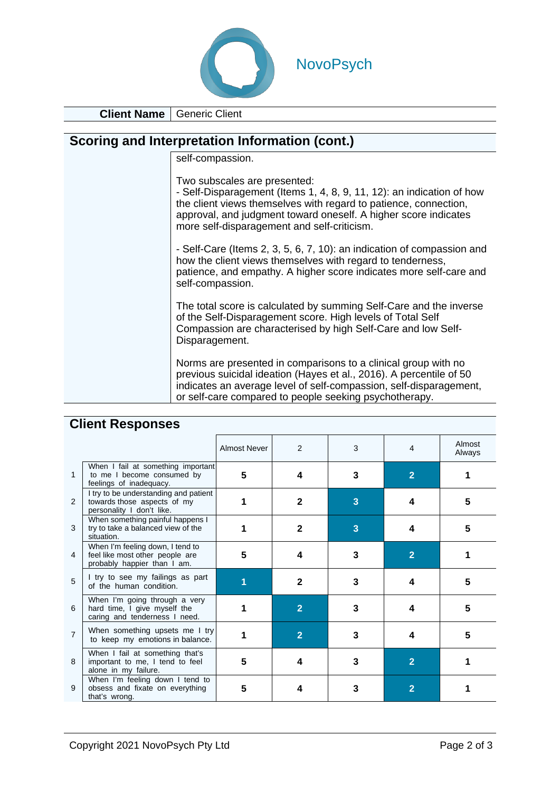

**Client Name** Generic Client

| Scoring and Interpretation Information (cont.) |                                                                                                                                                                                                                                                                                             |  |  |  |  |
|------------------------------------------------|---------------------------------------------------------------------------------------------------------------------------------------------------------------------------------------------------------------------------------------------------------------------------------------------|--|--|--|--|
|                                                | self-compassion.                                                                                                                                                                                                                                                                            |  |  |  |  |
|                                                | Two subscales are presented:<br>- Self-Disparagement (Items 1, 4, 8, 9, 11, 12): an indication of how<br>the client views themselves with regard to patience, connection,<br>approval, and judgment toward oneself. A higher score indicates<br>more self-disparagement and self-criticism. |  |  |  |  |
|                                                | - Self-Care (Items 2, 3, 5, 6, 7, 10): an indication of compassion and<br>how the client views themselves with regard to tenderness,<br>patience, and empathy. A higher score indicates more self-care and<br>self-compassion.                                                              |  |  |  |  |
|                                                | The total score is calculated by summing Self-Care and the inverse<br>of the Self-Disparagement score. High levels of Total Self<br>Compassion are characterised by high Self-Care and low Self-<br>Disparagement.                                                                          |  |  |  |  |
|                                                | Norms are presented in comparisons to a clinical group with no<br>previous suicidal ideation (Hayes et al., 2016). A percentile of 50<br>indicates an average level of self-compassion, self-disparagement,<br>or self-care compared to people seeking psychotherapy.                       |  |  |  |  |

|                | <b>OUGHT HOODOHOOD</b>                                                                             |              |                |   |                |                  |
|----------------|----------------------------------------------------------------------------------------------------|--------------|----------------|---|----------------|------------------|
|                |                                                                                                    | Almost Never | 2              | 3 | 4              | Almost<br>Always |
| 1              | When I fail at something important<br>to me I become consumed by<br>feelings of inadequacy.        | 5            | 4              | 3 | $\overline{2}$ |                  |
| 2              | I try to be understanding and patient<br>towards those aspects of my<br>personality I don't like.  |              | $\mathbf{2}$   | 3 | 4              | 5                |
| 3              | When something painful happens I<br>try to take a balanced view of the<br>situation.               |              | $\mathbf{2}$   | 3 | Δ              | 5                |
| 4              | When I'm feeling down, I tend to<br>feel like most other people are<br>probably happier than I am. | 5            | 4              | 3 | $\overline{2}$ |                  |
| 5              | I try to see my failings as part<br>of the human condition.                                        |              | $\mathbf{2}$   | 3 | 4              | 5                |
| 6              | When I'm going through a very<br>hard time, I give myself the<br>caring and tenderness I need.     |              | $\overline{2}$ | 3 | Δ              | 5                |
| $\overline{7}$ | When something upsets me I try<br>to keep my emotions in balance.                                  |              | $\overline{2}$ | 3 | 4              | 5                |
| 8              | When I fail at something that's<br>important to me, I tend to feel<br>alone in my failure.         | 5            | 4              | 3 | $\overline{2}$ |                  |
| 9              | When I'm feeling down I tend to<br>obsess and fixate on everything<br>that's wrong.                | 5            | 4              | 3 | 2              |                  |

## **Client Responses**